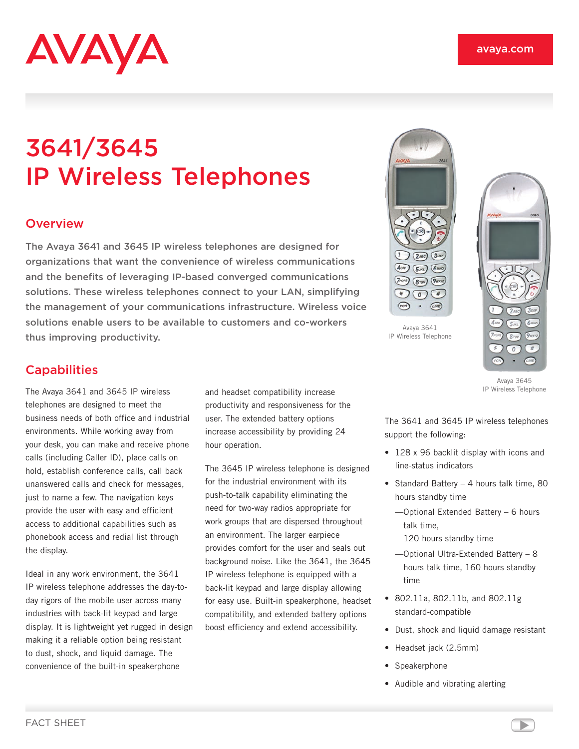

# 3641/3645 IP Wireless Telephones

#### **Overview**

The Avaya 3641 and 3645 IP wireless telephones are designed for organizations that want the convenience of wireless communications and the benefits of leveraging IP‑based converged communications solutions. These wireless telephones connect to your LAN, simplifying the management of your communications infrastructure. Wireless voice solutions enable users to be available to customers and co-workers thus improving productivity.

## **Capabilities**

The Avaya 3641 and 3645 IP wireless telephones are designed to meet the business needs of both office and industrial environments. While working away from your desk, you can make and receive phone calls (including Caller ID), place calls on hold, establish conference calls, call back unanswered calls and check for messages, just to name a few. The navigation keys provide the user with easy and efficient access to additional capabilities such as phonebook access and redial list through the display.

Ideal in any work environment, the 3641 IP wireless telephone addresses the day-today rigors of the mobile user across many industries with back-lit keypad and large display. It is lightweight yet rugged in design making it a reliable option being resistant to dust, shock, and liquid damage. The convenience of the built-in speakerphone

and headset compatibility increase productivity and responsiveness for the user. The extended battery options increase accessibility by providing 24 hour operation.

The 3645 IP wireless telephone is designed for the industrial environment with its push-to-talk capability eliminating the need for two-way radios appropriate for work groups that are dispersed throughout an environment. The larger earpiece provides comfort for the user and seals out background noise. Like the 3641, the 3645 IP wireless telephone is equipped with a back-lit keypad and large display allowing for easy use. Built-in speakerphone, headset compatibility, and extended battery options boost efficiency and extend accessibility.



Avaya 3641 IP Wireless Telephone



Avaya 3645 IP Wireless Telephone

The 3641 and 3645 IP wireless telephones support the following:

- 128 x 96 backlit display with icons and line-status indicators
- Standard Battery 4 hours talk time, 80 hours standby time
	- —Optional Extended Battery 6 hours talk time,
		- 120 hours standby time
	- —Optional Ultra-Extended Battery 8 hours talk time, 160 hours standby time
- 802.11a, 802.11b, and 802.11g standard-compatible
- Dust, shock and liquid damage resistant
- Headset jack (2.5mm)
- Speakerphone
- Audible and vibrating alerting